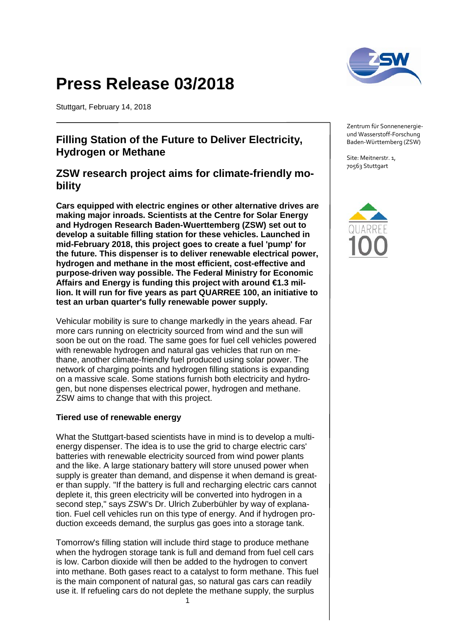# **Press Release 03/2018**

Stuttgart, February 14, 2018

## **Filling Station of the Future to Deliver Electricity, Hydrogen or Methane**

## **ZSW research project aims for climate-friendly mobility**

**Cars equipped with electric engines or other alternative drives are making major inroads. Scientists at the Centre for Solar Energy and Hydrogen Research Baden-Wuerttemberg (ZSW) set out to develop a suitable filling station for these vehicles. Launched in mid-February 2018, this project goes to create a fuel 'pump' for the future. This dispenser is to deliver renewable electrical power, hydrogen and methane in the most efficient, cost-effective and purpose-driven way possible. The Federal Ministry for Economic Affairs and Energy is funding this project with around €1.3 million. It will run for five years as part QUARREE 100, an initiative to test an urban quarter's fully renewable power supply.**

Vehicular mobility is sure to change markedly in the years ahead. Far more cars running on electricity sourced from wind and the sun will soon be out on the road. The same goes for fuel cell vehicles powered with renewable hydrogen and natural gas vehicles that run on methane, another climate-friendly fuel produced using solar power. The network of charging points and hydrogen filling stations is expanding on a massive scale. Some stations furnish both electricity and hydrogen, but none dispenses electrical power, hydrogen and methane. ZSW aims to change that with this project.

#### **Tiered use of renewable energy**

What the Stuttgart-based scientists have in mind is to develop a multienergy dispenser. The idea is to use the grid to charge electric cars' batteries with renewable electricity sourced from wind power plants and the like. A large stationary battery will store unused power when supply is greater than demand, and dispense it when demand is greater than supply. "If the battery is full and recharging electric cars cannot deplete it, this green electricity will be converted into hydrogen in a second step," says ZSW's Dr. Ulrich Zuberbühler by way of explanation. Fuel cell vehicles run on this type of energy. And if hydrogen production exceeds demand, the surplus gas goes into a storage tank.

Tomorrow's filling station will include third stage to produce methane when the hydrogen storage tank is full and demand from fuel cell cars is low. Carbon dioxide will then be added to the hydrogen to convert into methane. Both gases react to a catalyst to form methane. This fuel is the main component of natural gas, so natural gas cars can readily use it. If refueling cars do not deplete the methane supply, the surplus

1



Zentrum für Sonnenenergieund Wasserstoff-Forschung Baden-Württemberg (ZSW)

Site: Meitnerstr. 1, 70563 Stuttgart

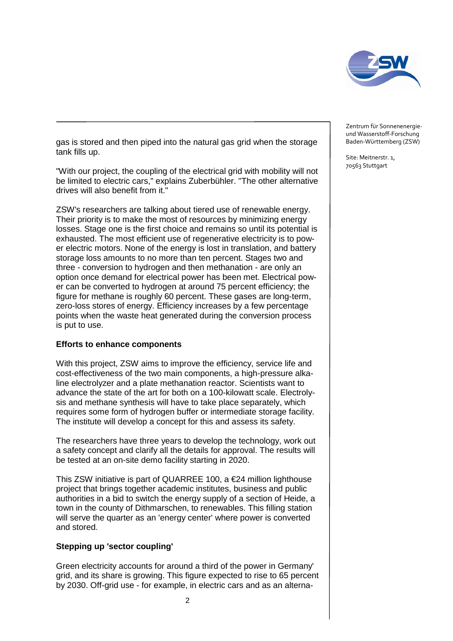

gas is stored and then piped into the natural gas grid when the storage tank fills up.

"With our project, the coupling of the electrical grid with mobility will not be limited to electric cars," explains Zuberbühler. "The other alternative drives will also benefit from it."

ZSW's researchers are talking about tiered use of renewable energy. Their priority is to make the most of resources by minimizing energy losses. Stage one is the first choice and remains so until its potential is exhausted. The most efficient use of regenerative electricity is to power electric motors. None of the energy is lost in translation, and battery storage loss amounts to no more than ten percent. Stages two and three - conversion to hydrogen and then methanation - are only an option once demand for electrical power has been met. Electrical power can be converted to hydrogen at around 75 percent efficiency; the figure for methane is roughly 60 percent. These gases are long-term, zero-loss stores of energy. Efficiency increases by a few percentage points when the waste heat generated during the conversion process is put to use.

#### **Efforts to enhance components**

With this project, ZSW aims to improve the efficiency, service life and cost-effectiveness of the two main components, a high-pressure alkaline electrolyzer and a plate methanation reactor. Scientists want to advance the state of the art for both on a 100-kilowatt scale. Electrolysis and methane synthesis will have to take place separately, which requires some form of hydrogen buffer or intermediate storage facility. The institute will develop a concept for this and assess its safety.

The researchers have three years to develop the technology, work out a safety concept and clarify all the details for approval. The results will be tested at an on-site demo facility starting in 2020.

This ZSW initiative is part of QUARREE 100, a  $\epsilon$ 24 million lighthouse project that brings together academic institutes, business and public authorities in a bid to switch the energy supply of a section of Heide, a town in the county of Dithmarschen, to renewables. This filling station will serve the quarter as an 'energy center' where power is converted and stored.

#### **Stepping up 'sector coupling'**

Green electricity accounts for around a third of the power in Germany' grid, and its share is growing. This figure expected to rise to 65 percent by 2030. Off-grid use - for example, in electric cars and as an alternaZentrum für Sonnenenergieund Wasserstoff-Forschung Baden-Württemberg (ZSW)

Site: Meitnerstr. 1, 70563 Stuttgart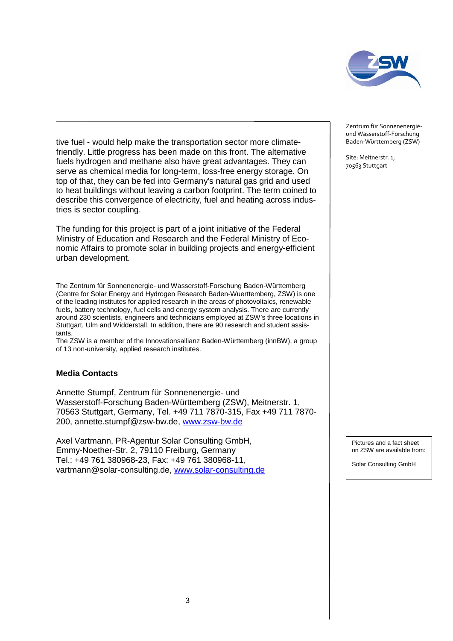

tive fuel - would help make the transportation sector more climatefriendly. Little progress has been made on this front. The alternative fuels hydrogen and methane also have great advantages. They can serve as chemical media for long-term, loss-free energy storage. On top of that, they can be fed into Germany's natural gas grid and used to heat buildings without leaving a carbon footprint. The term coined to describe this convergence of electricity, fuel and heating across industries is sector coupling.

The funding for this project is part of a joint initiative of the Federal Ministry of Education and Research and the Federal Ministry of Economic Affairs to promote solar in building projects and energy-efficient urban development.

The Zentrum für Sonnenenergie- und Wasserstoff-Forschung Baden-Württemberg (Centre for Solar Energy and Hydrogen Research Baden-Wuerttemberg, ZSW) is one of the leading institutes for applied research in the areas of photovoltaics, renewable fuels, battery technology, fuel cells and energy system analysis. There are currently around 230 scientists, engineers and technicians employed at ZSW's three locations in Stuttgart, Ulm and Widderstall. In addition, there are 90 research and student assistants.

The ZSW is a member of the Innovationsallianz Baden-Württemberg (innBW), a group of 13 non-university, applied research institutes.

#### **Media Contacts**

Annette Stumpf, Zentrum für Sonnenenergie- und Wasserstoff-Forschung Baden-Württemberg (ZSW), Meitnerstr. 1, 70563 Stuttgart, Germany, Tel. +49 711 7870-315, Fax +49 711 7870- 200, annette.stumpf@zsw-bw.de, [www.zsw-bw.de](http://www.zsw-bw.de/)

Axel Vartmann, PR-Agentur Solar Consulting GmbH, Emmy-Noether-Str. 2, 79110 Freiburg, Germany Tel.: +49 761 380968-23, Fax: +49 761 380968-11, vartmann@solar-consulting.de, [www.solar-consulting.de](http://www.solar-consulting.de/) Zentrum für Sonnenenergieund Wasserstoff-Forschung Baden-Württemberg (ZSW)

Site: Meitnerstr. 1, 70563 Stuttgart

Pictures and a fact sheet on ZSW are available from:

Solar Consulting GmbH